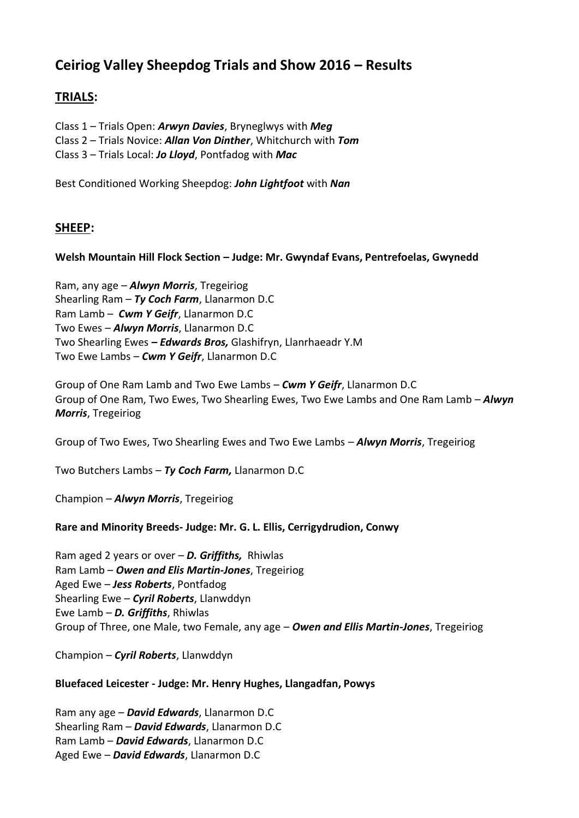# **Ceiriog Valley Sheepdog Trials and Show 2016 – Results**

# **TRIALS:**

Class 1 – Trials Open: *Arwyn Davies*, Bryneglwys with *Meg*

Class 2 – Trials Novice: *Allan Von Dinther*, Whitchurch with *Tom*

Class 3 – Trials Local: *Jo Lloyd*, Pontfadog with *Mac*

Best Conditioned Working Sheepdog: *John Lightfoot* with *Nan*

# **SHEEP:**

# **Welsh Mountain Hill Flock Section – Judge: Mr. Gwyndaf Evans, Pentrefoelas, Gwynedd**

Ram, any age – *Alwyn Morris*, Tregeiriog Shearling Ram – *Ty Coch Farm*, Llanarmon D.C Ram Lamb – *Cwm Y Geifr*, Llanarmon D.C Two Ewes – *Alwyn Morris*, Llanarmon D.C Two Shearling Ewes *– Edwards Bros,* Glashifryn, Llanrhaeadr Y.M Two Ewe Lambs – *Cwm Y Geifr*, Llanarmon D.C

Group of One Ram Lamb and Two Ewe Lambs – *Cwm Y Geifr*, Llanarmon D.C Group of One Ram, Two Ewes, Two Shearling Ewes, Two Ewe Lambs and One Ram Lamb – *Alwyn Morris*, Tregeiriog

Group of Two Ewes, Two Shearling Ewes and Two Ewe Lambs – *Alwyn Morris*, Tregeiriog

Two Butchers Lambs – *Ty Coch Farm,* Llanarmon D.C

Champion – *Alwyn Morris*, Tregeiriog

# **Rare and Minority Breeds- Judge: Mr. G. L. Ellis, Cerrigydrudion, Conwy**

Ram aged 2 years or over – *D. Griffiths,* Rhiwlas Ram Lamb – *Owen and Elis Martin-Jones*, Tregeiriog Aged Ewe – *Jess Roberts*, Pontfadog Shearling Ewe – *Cyril Roberts*, Llanwddyn Ewe Lamb – *D. Griffiths*, Rhiwlas Group of Three, one Male, two Female, any age – *Owen and Ellis Martin-Jones*, Tregeiriog

Champion – *Cyril Roberts*, Llanwddyn

# **Bluefaced Leicester - Judge: Mr. Henry Hughes, Llangadfan, Powys**

Ram any age – *David Edwards*, Llanarmon D.C Shearling Ram – *David Edwards*, Llanarmon D.C Ram Lamb – *David Edwards*, Llanarmon D.C Aged Ewe – *David Edwards*, Llanarmon D.C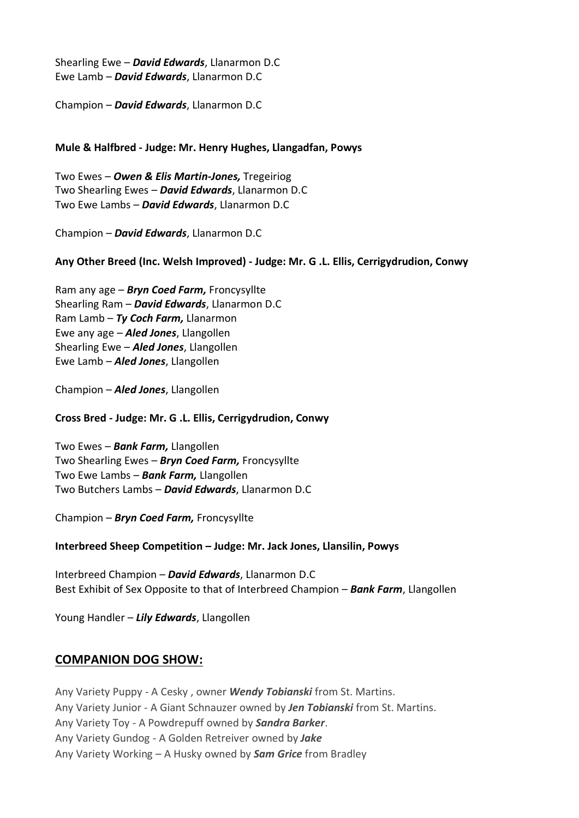Shearling Ewe – *David Edwards*, Llanarmon D.C Ewe Lamb – *David Edwards*, Llanarmon D.C

Champion – *David Edwards*, Llanarmon D.C

### **Mule & Halfbred - Judge: Mr. Henry Hughes, Llangadfan, Powys**

Two Ewes – *Owen & Elis Martin-Jones,* Tregeiriog Two Shearling Ewes – *David Edwards*, Llanarmon D.C Two Ewe Lambs – *David Edwards*, Llanarmon D.C

Champion – *David Edwards*, Llanarmon D.C

### **Any Other Breed (Inc. Welsh Improved) - Judge: Mr. G .L. Ellis, Cerrigydrudion, Conwy**

Ram any age – *Bryn Coed Farm,* Froncysyllte Shearling Ram – *David Edwards*, Llanarmon D.C Ram Lamb – *Ty Coch Farm,* Llanarmon Ewe any age – *Aled Jones*, Llangollen Shearling Ewe – *Aled Jones*, Llangollen Ewe Lamb – *Aled Jones*, Llangollen

Champion – *Aled Jones*, Llangollen

#### **Cross Bred - Judge: Mr. G .L. Ellis, Cerrigydrudion, Conwy**

Two Ewes – *Bank Farm,* Llangollen Two Shearling Ewes – *Bryn Coed Farm,* Froncysyllte Two Ewe Lambs – *Bank Farm,* Llangollen Two Butchers Lambs – *David Edwards*, Llanarmon D.C

Champion – *Bryn Coed Farm,* Froncysyllte

**Interbreed Sheep Competition – Judge: Mr. Jack Jones, Llansilin, Powys**

Interbreed Champion – *David Edwards*, Llanarmon D.C Best Exhibit of Sex Opposite to that of Interbreed Champion – *Bank Farm*, Llangollen

Young Handler – *Lily Edwards*, Llangollen

# **COMPANION DOG SHOW:**

Any Variety Puppy - A Cesky , owner *Wendy Tobianski* from St. Martins. Any Variety Junior - A Giant Schnauzer owned by *Jen Tobianski* from St. Martins. Any Variety Toy - A Powdrepuff owned by *Sandra Barker*. Any Variety Gundog - A Golden Retreiver owned by *Jake* Any Variety Working – A Husky owned by *Sam Grice* from Bradley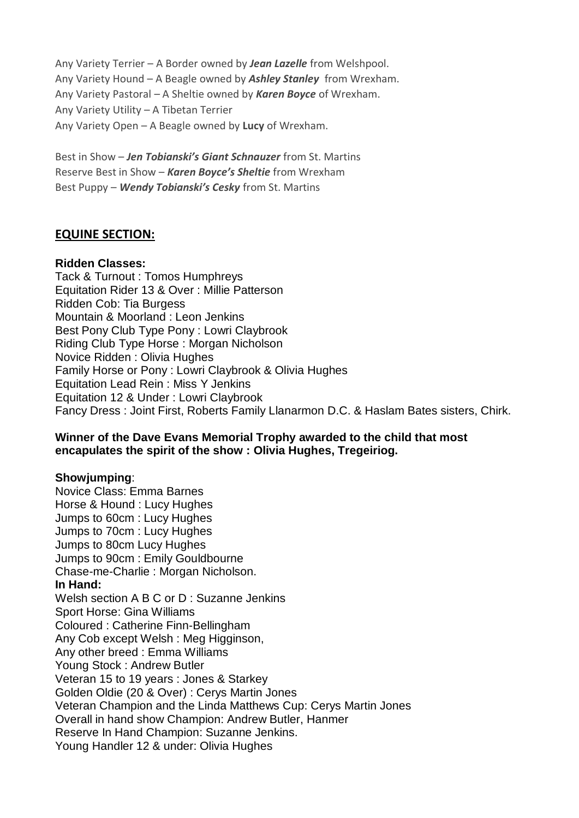Any Variety Terrier – A Border owned by *Jean Lazelle* from Welshpool. Any Variety Hound – A Beagle owned by *Ashley Stanley* from Wrexham. Any Variety Pastoral – A Sheltie owned by *Karen Boyce* of Wrexham. Any Variety Utility – A Tibetan Terrier Any Variety Open – A Beagle owned by **Lucy** of Wrexham.

Best in Show – *Jen Tobianski's Giant Schnauzer* from St. Martins Reserve Best in Show – *Karen Boyce's Sheltie* from Wrexham Best Puppy – *Wendy Tobianski's Cesky* from St. Martins

# **EQUINE SECTION:**

# **Ridden Classes:**

Tack & Turnout : Tomos Humphreys Equitation Rider 13 & Over : Millie Patterson Ridden Cob: Tia Burgess Mountain & Moorland : Leon Jenkins Best Pony Club Type Pony : Lowri Claybrook Riding Club Type Horse : Morgan Nicholson Novice Ridden : Olivia Hughes Family Horse or Pony : Lowri Claybrook & Olivia Hughes Equitation Lead Rein : Miss Y Jenkins Equitation 12 & Under : Lowri Claybrook Fancy Dress : Joint First, Roberts Family Llanarmon D.C. & Haslam Bates sisters, Chirk.

# **Winner of the Dave Evans Memorial Trophy awarded to the child that most encapulates the spirit of the show : Olivia Hughes, Tregeiriog.**

# **Showjumping**:

Novice Class: Emma Barnes Horse & Hound : Lucy Hughes Jumps to 60cm : Lucy Hughes Jumps to 70cm : Lucy Hughes Jumps to 80cm Lucy Hughes Jumps to 90cm : Emily Gouldbourne Chase-me-Charlie : Morgan Nicholson. **In Hand:** Welsh section A B C or D : Suzanne Jenkins Sport Horse: Gina Williams Coloured : Catherine Finn-Bellingham Any Cob except Welsh : Meg Higginson, Any other breed : Emma Williams Young Stock : Andrew Butler Veteran 15 to 19 years : Jones & Starkey Golden Oldie (20 & Over) : Cerys Martin Jones Veteran Champion and the Linda Matthews Cup: Cerys Martin Jones Overall in hand show Champion: Andrew Butler, Hanmer Reserve In Hand Champion: Suzanne Jenkins. Young Handler 12 & under: Olivia Hughes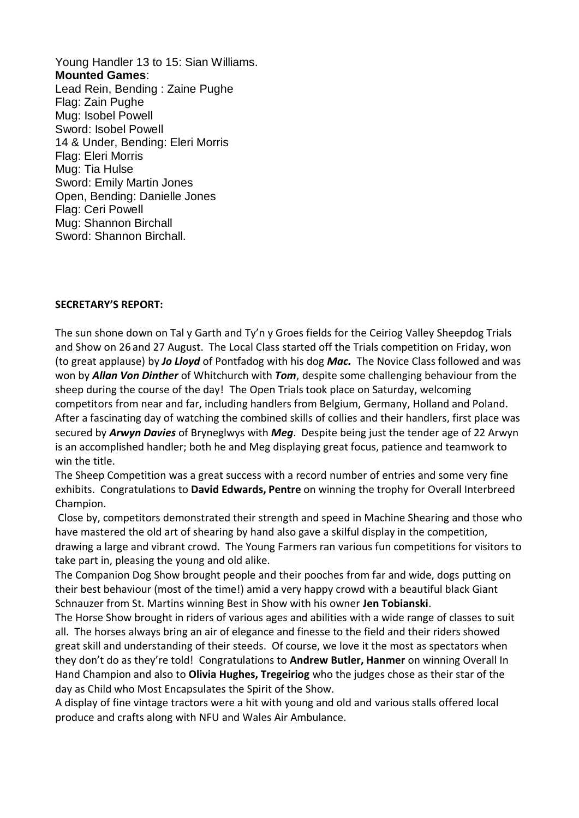Young Handler 13 to 15: Sian Williams. **Mounted Games**: Lead Rein, Bending : Zaine Pughe Flag: Zain Pughe Mug: Isobel Powell Sword: Isobel Powell 14 & Under, Bending: Eleri Morris Flag: Eleri Morris Mug: Tia Hulse Sword: Emily Martin Jones Open, Bending: Danielle Jones Flag: Ceri Powell Mug: Shannon Birchall Sword: Shannon Birchall.

#### **SECRETARY'S REPORT:**

The sun shone down on Tal y Garth and Ty'n y Groes fields for the Ceiriog Valley Sheepdog Trials and Show on 26 and 27 August. The Local Class started off the Trials competition on Friday, won (to great applause) by *Jo Lloyd* of Pontfadog with his dog *Mac.* The Novice Class followed and was won by *Allan Von Dinther* of Whitchurch with *Tom*, despite some challenging behaviour from the sheep during the course of the day! The Open Trials took place on Saturday, welcoming competitors from near and far, including handlers from Belgium, Germany, Holland and Poland. After a fascinating day of watching the combined skills of collies and their handlers, first place was secured by *Arwyn Davies* of Bryneglwys with *Meg*. Despite being just the tender age of 22 Arwyn is an accomplished handler; both he and Meg displaying great focus, patience and teamwork to win the title.

The Sheep Competition was a great success with a record number of entries and some very fine exhibits. Congratulations to **David Edwards, Pentre** on winning the trophy for Overall Interbreed Champion.

Close by, competitors demonstrated their strength and speed in Machine Shearing and those who have mastered the old art of shearing by hand also gave a skilful display in the competition, drawing a large and vibrant crowd. The Young Farmers ran various fun competitions for visitors to take part in, pleasing the young and old alike.

The Companion Dog Show brought people and their pooches from far and wide, dogs putting on their best behaviour (most of the time!) amid a very happy crowd with a beautiful black Giant Schnauzer from St. Martins winning Best in Show with his owner **Jen Tobianski**.

The Horse Show brought in riders of various ages and abilities with a wide range of classes to suit all. The horses always bring an air of elegance and finesse to the field and their riders showed great skill and understanding of their steeds. Of course, we love it the most as spectators when they don't do as they're told! Congratulations to **Andrew Butler, Hanmer** on winning Overall In Hand Champion and also to **Olivia Hughes, Tregeiriog** who the judges chose as their star of the day as Child who Most Encapsulates the Spirit of the Show.

A display of fine vintage tractors were a hit with young and old and various stalls offered local produce and crafts along with NFU and Wales Air Ambulance.